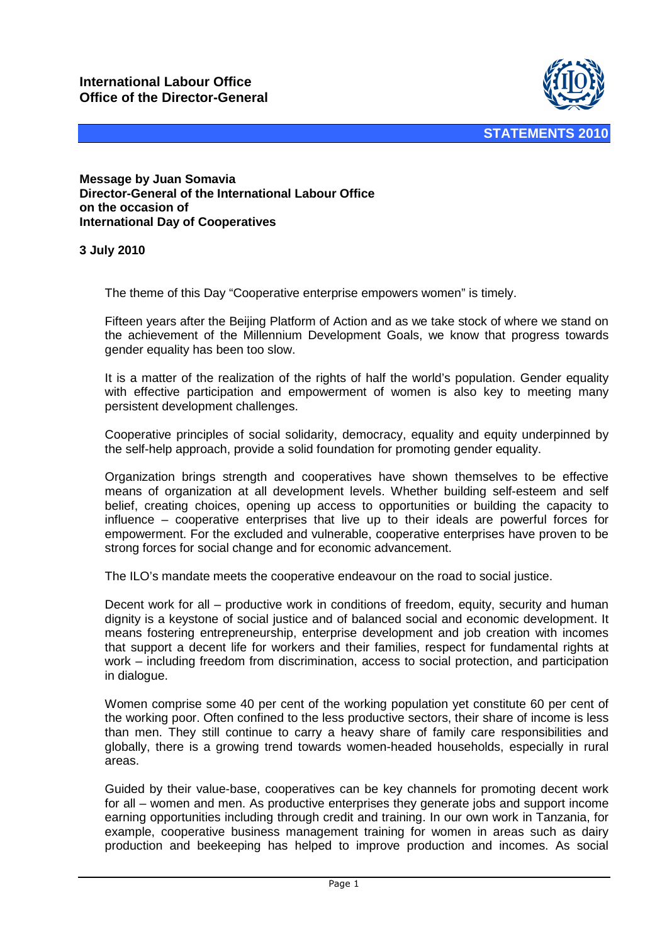

**Message by Juan Somavia Director-General of the International Labour Office on the occasion of International Day of Cooperatives** 

## **3 July 2010**

The theme of this Day "Cooperative enterprise empowers women" is timely.

Fifteen years after the Beijing Platform of Action and as we take stock of where we stand on the achievement of the Millennium Development Goals, we know that progress towards gender equality has been too slow.

It is a matter of the realization of the rights of half the world's population. Gender equality with effective participation and empowerment of women is also key to meeting many persistent development challenges.

Cooperative principles of social solidarity, democracy, equality and equity underpinned by the self-help approach, provide a solid foundation for promoting gender equality.

Organization brings strength and cooperatives have shown themselves to be effective means of organization at all development levels. Whether building self-esteem and self belief, creating choices, opening up access to opportunities or building the capacity to influence – cooperative enterprises that live up to their ideals are powerful forces for empowerment. For the excluded and vulnerable, cooperative enterprises have proven to be strong forces for social change and for economic advancement.

The ILO's mandate meets the cooperative endeavour on the road to social justice.

Decent work for all – productive work in conditions of freedom, equity, security and human dignity is a keystone of social justice and of balanced social and economic development. It means fostering entrepreneurship, enterprise development and job creation with incomes that support a decent life for workers and their families, respect for fundamental rights at work – including freedom from discrimination, access to social protection, and participation in dialogue.

Women comprise some 40 per cent of the working population yet constitute 60 per cent of the working poor. Often confined to the less productive sectors, their share of income is less than men. They still continue to carry a heavy share of family care responsibilities and globally, there is a growing trend towards women-headed households, especially in rural areas.

Guided by their value-base, cooperatives can be key channels for promoting decent work for all – women and men. As productive enterprises they generate jobs and support income earning opportunities including through credit and training. In our own work in Tanzania, for example, cooperative business management training for women in areas such as dairy production and beekeeping has helped to improve production and incomes. As social